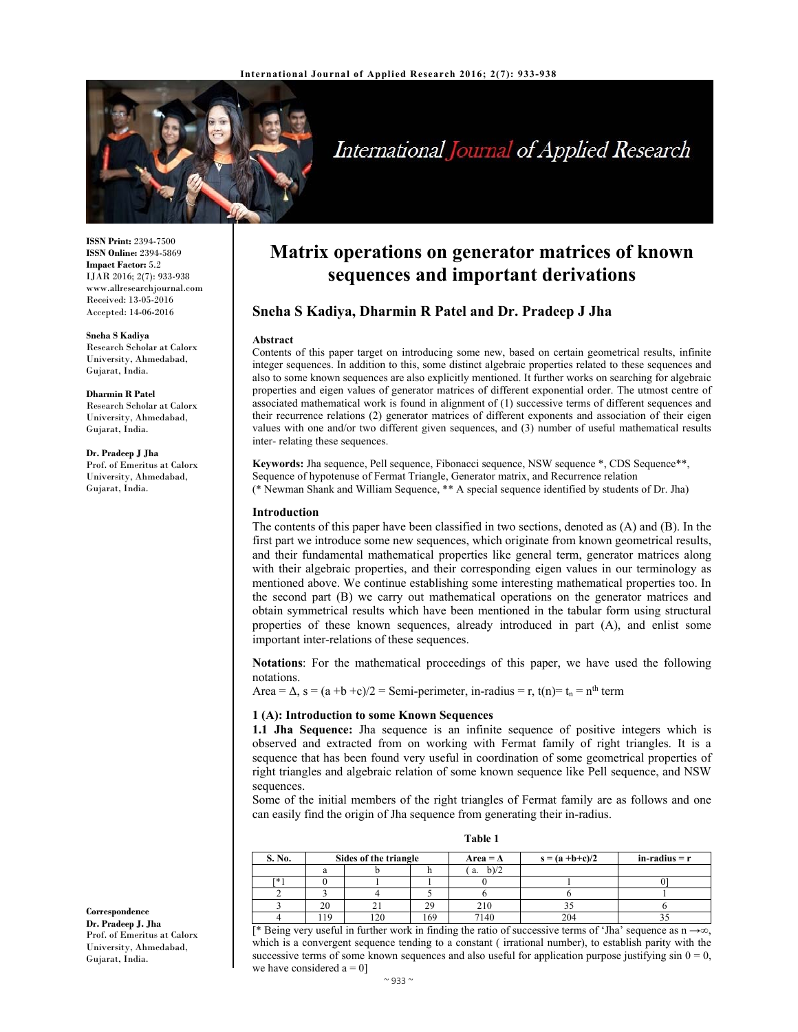

# International Journal of Applied Research

**ISSN Print:** 2394-7500 **ISSN Online:** 2394-5869 **Impact Factor:** 5.2 IJAR 2016; 2(7): 933-938 www.allresearchjournal.com Received: 13-05-2016 Accepted: 14-06-2016

#### **Sneha S Kadiya**

Research Scholar at Calorx University, Ahmedabad, Gujarat, India.

#### **Dharmin R Patel**

Research Scholar at Calorx University, Ahmedabad, Gujarat, India.

#### **Dr. Pradeep J Jha**

Prof. of Emeritus at Calorx University, Ahmedabad, Gujarat, India.

**Matrix operations on generator matrices of known sequences and important derivations**

# **Sneha S Kadiya, Dharmin R Patel and Dr. Pradeep J Jha**

#### **Abstract**

Contents of this paper target on introducing some new, based on certain geometrical results, infinite integer sequences. In addition to this, some distinct algebraic properties related to these sequences and also to some known sequences are also explicitly mentioned. It further works on searching for algebraic properties and eigen values of generator matrices of different exponential order. The utmost centre of associated mathematical work is found in alignment of (1) successive terms of different sequences and their recurrence relations (2) generator matrices of different exponents and association of their eigen values with one and/or two different given sequences, and (3) number of useful mathematical results inter- relating these sequences.

**Keywords:** Jha sequence, Pell sequence, Fibonacci sequence, NSW sequence \*, CDS Sequence\*\*, Sequence of hypotenuse of Fermat Triangle, Generator matrix, and Recurrence relation (\* Newman Shank and William Sequence, \*\* A special sequence identified by students of Dr. Jha)

## **Introduction**

The contents of this paper have been classified in two sections, denoted as (A) and (B). In the first part we introduce some new sequences, which originate from known geometrical results, and their fundamental mathematical properties like general term, generator matrices along with their algebraic properties, and their corresponding eigen values in our terminology as mentioned above. We continue establishing some interesting mathematical properties too. In the second part (B) we carry out mathematical operations on the generator matrices and obtain symmetrical results which have been mentioned in the tabular form using structural properties of these known sequences, already introduced in part (A), and enlist some important inter-relations of these sequences.

**Notations**: For the mathematical proceedings of this paper, we have used the following notations.

Area =  $\Delta$ , s =  $(a + b + c)/2$  = Semi-perimeter, in-radius = r, t(n) =  $t_n$  = n<sup>th</sup> term

### **1 (A): Introduction to some Known Sequences**

**1.1 Jha Sequence:** Jha sequence is an infinite sequence of positive integers which is observed and extracted from on working with Fermat family of right triangles. It is a sequence that has been found very useful in coordination of some geometrical properties of right triangles and algebraic relation of some known sequence like Pell sequence, and NSW sequences.

Some of the initial members of the right triangles of Fermat family are as follows and one can easily find the origin of Jha sequence from generating their in-radius.

| able |  |
|------|--|
|      |  |

| S. No. | Sides of the triangle |      | Area = $\Delta$ | $s = (a + b + c)/2$ | $in-radius = r$ |  |
|--------|-----------------------|------|-----------------|---------------------|-----------------|--|
|        | a                     |      |                 | b)/2<br>a.          |                 |  |
| Гж.    |                       |      |                 |                     |                 |  |
|        |                       |      |                 |                     |                 |  |
|        | 20                    |      | 29              | 210                 |                 |  |
|        | 19                    | 1 ລດ | .69             | 7140                | 204             |  |

[\* Being very useful in further work in finding the ratio of successive terms of 'Jha' sequence as n →∞, which is a convergent sequence tending to a constant ( irrational number), to establish parity with the successive terms of some known sequences and also useful for application purpose justifying  $\sin 0 = 0$ , we have considered  $a = 0$ ]

**Correspondence Dr. Pradeep J. Jha**  Prof. of Emeritus at Calorx University, Ahmedabad, Gujarat, India.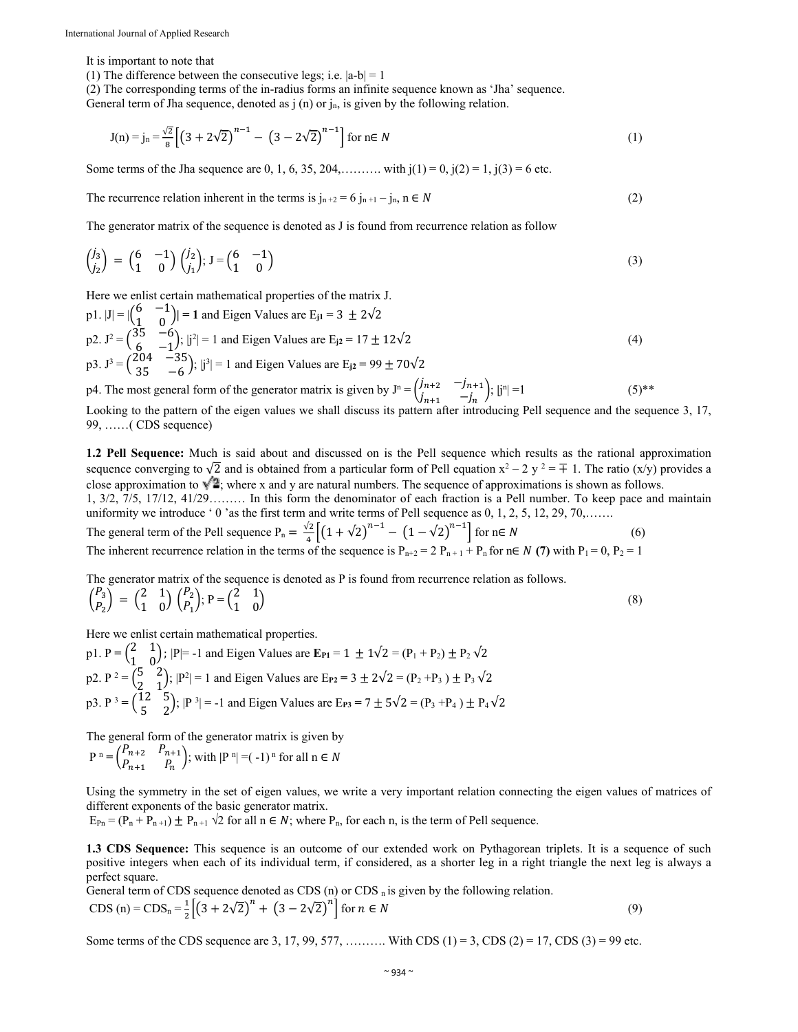It is important to note that

(1) The difference between the consecutive legs; i.e.  $|a-b|=1$ 

(2) The corresponding terms of the in-radius forms an infinite sequence known as 'Jha' sequence.

General term of Jha sequence, denoted as  $j$  (n) or  $j_n$ , is given by the following relation.

$$
J(n) = j_n = \frac{\sqrt{2}}{8} \left[ \left( 3 + 2\sqrt{2} \right)^{n-1} - \left( 3 - 2\sqrt{2} \right)^{n-1} \right] \text{ for } n \in \mathbb{N} \tag{1}
$$

Some terms of the Jha sequence are 0, 1, 6, 35, 204,………. with  $j(1) = 0$ ,  $j(2) = 1$ ,  $j(3) = 6$  etc.

The recurrence relation inherent in the terms is  $j_{n+2} = 6 j_{n+1} - j_n$ ,  $n \in N$  (2)

The generator matrix of the sequence is denoted as J is found from recurrence relation as follow

$$
\begin{pmatrix} j_3 \\ j_2 \end{pmatrix} = \begin{pmatrix} 6 & -1 \\ 1 & 0 \end{pmatrix} \begin{pmatrix} j_2 \\ j_1 \end{pmatrix}; J = \begin{pmatrix} 6 & -1 \\ 1 & 0 \end{pmatrix} \tag{3}
$$

Here we enlist certain mathematical properties of the matrix J.

p1. 
$$
|J| = |{6 \choose 1} - 1 \choose 0}| = 1
$$
 and Eigen Values are E<sub>j1</sub> = 3 ± 2 $\sqrt{2}$   
\np2.  $J^2 = {35 \choose 6} - 6 \choose -1; |j^2| = 1$  and Eigen Values are E<sub>j2</sub> = 17 ± 12 $\sqrt{2}$   
\np3.  $J^3 = {204 \choose 35} - 6; |j^3| = 1$  and Eigen Values are E<sub>j2</sub> = 99 ± 70 $\sqrt{2}$ 

p4. The most general form of the generator matrix is given by  $J^n = \begin{pmatrix} j_{n+2} & -j_{n+1} \\ j_i & j_i \end{pmatrix}$  $j_{n+1}^{j_{n+2}}$   $-j_n^{j_n+1}$ ;  $|j^n|=1$  (5)\*\*

Looking to the pattern of the eigen values we shall discuss its pattern after introducing Pell sequence and the sequence 3, 17, 99, ……( CDS sequence)

**1.2 Pell Sequence:** Much is said about and discussed on is the Pell sequence which results as the rational approximation sequence converging to  $\sqrt{2}$  and is obtained from a particular form of Pell equation  $x^2 - 2y^2 = \mp 1$ . The ratio (x/y) provides a close approximation to  $\sqrt{2}$ ; where x and y are natural numbers. The sequence of approximations is shown as follows.

1, 3/2, 7/5, 17/12, 41/29……… In this form the denominator of each fraction is a Pell number. To keep pace and maintain uniformity we introduce ' 0 'as the first term and write terms of Pell sequence as 0, 1, 2, 5, 12, 29, 70,......

The general term of the Pell sequence  $P_n = \frac{\sqrt{2}}{4} \left[ \left( 1 + \sqrt{2} \right)^{n-1} - \left( 1 - \sqrt{2} \right)^{n-1} \right]$  for  $n \in N$  (6) The inherent recurrence relation in the terms of the sequence is  $P_{n+2} = 2 P_{n+1} + P_n$  for  $n \in N$  (7) with  $P_1 = 0$ ,  $P_2 = 1$ 

The generator matrix of the sequence is denoted as P is found from recurrence relation as follows.  $\binom{P_3}{P_1}$  $\begin{pmatrix} P_3 \\ P_2 \end{pmatrix} = \begin{pmatrix} 2 & 1 \\ 1 & 0 \end{pmatrix} \begin{pmatrix} P_2 \\ P_1 \end{pmatrix}; P = \begin{pmatrix} 2 & 1 \\ 1 & 0 \end{pmatrix}$  $\begin{pmatrix} 2 & 1 \\ 1 & 0 \end{pmatrix}$  (8)

Here we enlist certain mathematical properties.

p1. P =  $\begin{pmatrix} 2 & 1 \\ 1 & 0 \end{pmatrix}$ ; |P|= -1 and Eigen Values are **E**<sub>P1</sub> = 1  $\pm 1\sqrt{2}$  = (P<sub>1</sub> + P<sub>2</sub>)  $\pm$  P<sub>2</sub>  $\sqrt{2}$ p2.  $P^2 = \begin{pmatrix} 5 & 2 \\ 2 & 1 \end{pmatrix}$ ;  $|P^2| = 1$  and Eigen Values are  $E_{P2} = 3 \pm 2\sqrt{2} = (P_2 + P_3) \pm P_3 \sqrt{2}$ p3.  $P^3 = \begin{pmatrix} 12 & 5 \\ 5 & 2 \end{pmatrix}$ ;  $|P^3| = -1$  and Eigen Values are E<sub>P3</sub> = 7 ± 5 $\sqrt{2} = (P_3 + P_4) \pm P_4 \sqrt{2}$ 

The general form of the generator matrix is given by

$$
P^{n} = \begin{pmatrix} P_{n+2} & P_{n+1} \\ P_{n+1} & P_n \end{pmatrix};
$$
 with  $|P^{n}| = (-1)^{n}$  for all  $n \in N$ 

Using the symmetry in the set of eigen values, we write a very important relation connecting the eigen values of matrices of different exponents of the basic generator matrix.

 $E_{\text{Pn}} = (P_n + P_{n+1}) \pm P_{n+1}$   $\sqrt{2}$  for all  $n \in \mathbb{N}$ ; where  $P_n$ , for each n, is the term of Pell sequence.

**1.3 CDS Sequence:** This sequence is an outcome of our extended work on Pythagorean triplets. It is a sequence of such positive integers when each of its individual term, if considered, as a shorter leg in a right triangle the next leg is always a perfect square.

General term of CDS sequence denoted as CDS  $(n)$  or CDS  $_n$  is given by the following relation. CDS (n) = CDS<sub>n</sub> =  $\frac{1}{2} \left[ (3 + 2\sqrt{2})^n + (3 - 2\sqrt{2})^n \right]$  for  $n \in N$  (9)

Some terms of the CDS sequence are 3, 17, 99, 577, ………. With CDS  $(1) = 3$ , CDS  $(2) = 17$ , CDS  $(3) = 99$  etc.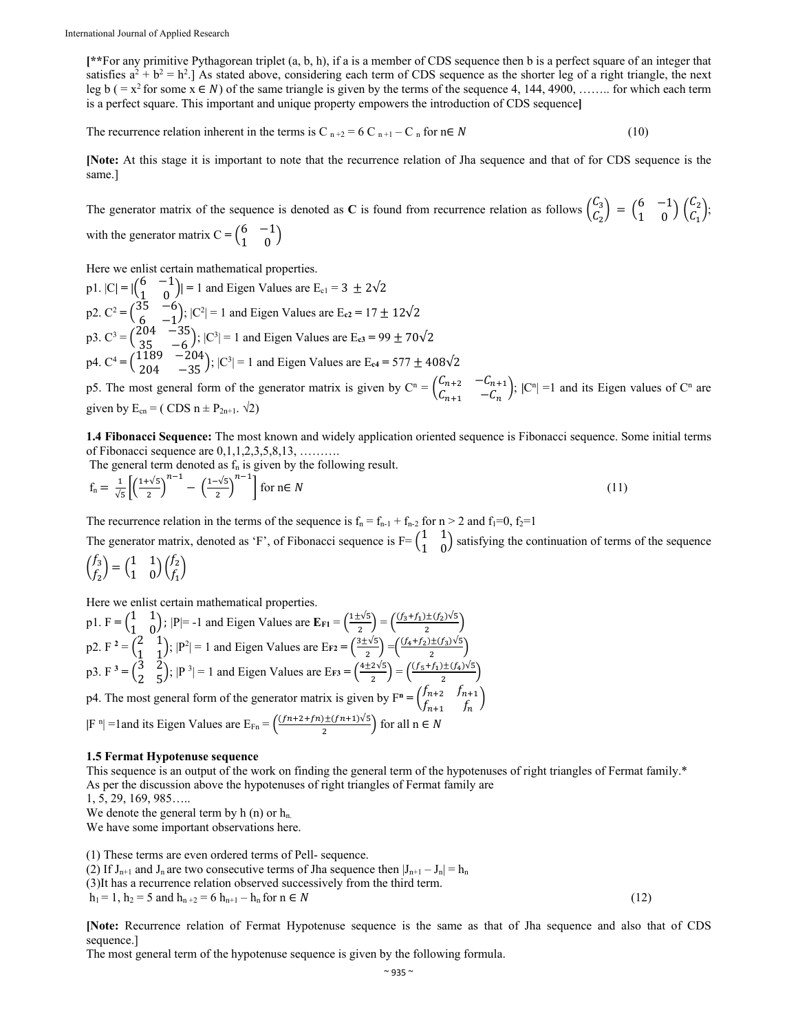**[\*\***For any primitive Pythagorean triplet (a, b, h), if a is a member of CDS sequence then b is a perfect square of an integer that satisfies  $a^2 + b^2 = h^2$ . As stated above, considering each term of CDS sequence as the shorter leg of a right triangle, the next leg b ( =  $x^2$  for some  $x \in N$ ) of the same triangle is given by the terms of the sequence 4, 144, 4900, …….. for which each term is a perfect square. This important and unique property empowers the introduction of CDS sequence**]** 

The recurrence relation inherent in the terms is C  $_{n+2} = 6$  C  $_{n+1} - C_n$  for  $n \in N$  (10)

**[Note:** At this stage it is important to note that the recurrence relation of Jha sequence and that of for CDS sequence is the same.]

The generator matrix of the sequence is denoted as C is found from recurrence relation as follows  $\begin{pmatrix} C_3 \\ C_1 \end{pmatrix}$  $\begin{pmatrix} C_3 \\ C_2 \end{pmatrix} = \begin{pmatrix} 6 & -1 \\ 1 & 0 \end{pmatrix} \begin{pmatrix} C_2 \\ C_1 \end{pmatrix};$ with the generator matrix  $C = \begin{pmatrix} 6 & -1 \\ 1 & 0 \end{pmatrix}$ 

Here we enlist certain mathematical properties.

p1.  $|C| = |\begin{pmatrix} 6 & -1 \\ 1 & 0 \end{pmatrix}| = 1$  and Eigen Values are  $E_{c1} = 3 \pm 2\sqrt{2}$ p2.  $C^2 = \begin{pmatrix} 35 & -6 \\ 6 & -1 \end{pmatrix}$ ;  $|C^2| = 1$  and Eigen Values are E<sub>c2</sub> = 17 ± 12√2 p3.  $C^3 = \begin{pmatrix} 204 & -35 \\ 35 & -6 \end{pmatrix}$ ;  $|C^3| = 1$  and Eigen Values are E<sub>c3</sub> = 99  $\pm 70\sqrt{2}$  $p4. C^4 = \begin{pmatrix} 1189 & -204 \\ 204 & -35 \end{pmatrix}; |C^3| = 1$  and Eigen Values are E<sub>c4</sub> = 577  $\pm$  408 $\sqrt{2}$ 

p5. The most general form of the generator matrix is given by  $C^n = \begin{pmatrix} C_{n+2} & -C_{n+1} \\ C & C \end{pmatrix}$  $\begin{pmatrix} C_{n+1} & C_{n+1} \\ C_{n+1} & -C_n \end{pmatrix}$ ;  $|C^n| = 1$  and its Eigen values of  $C^n$  are given by  $E_{cn} = (CDS n \pm P_{2n+1} \cdot \sqrt{2})$ 

**1.4 Fibonacci Sequence:** The most known and widely application oriented sequence is Fibonacci sequence. Some initial terms of Fibonacci sequence are  $0,1,1,2,3,5,8,13,$  .........

The general term denoted as  $f_n$  is given by the following result.

$$
f_n = \frac{1}{\sqrt{5}} \left[ \left( \frac{1+\sqrt{5}}{2} \right)^{n-1} - \left( \frac{1-\sqrt{5}}{2} \right)^{n-1} \right] \text{ for } n \in \mathbb{N} \tag{11}
$$

The recurrence relation in the terms of the sequence is  $f_n = f_{n-1} + f_{n-2}$  for  $n > 2$  and  $f_1 = 0$ ,  $f_2 = 1$ The generator matrix, denoted as 'F', of Fibonacci sequence is  $F = \begin{pmatrix} 1 & 1 \\ 1 & 0 \end{pmatrix}$  satisfying the continuation of terms of the sequence  $\int_{c}^{f_3}$  $\begin{pmatrix} f_3 \\ f_2 \end{pmatrix} = \begin{pmatrix} 1 & 1 \\ 1 & 0 \end{pmatrix} \begin{pmatrix} f_2 \\ f_1 \end{pmatrix}$ 

Here we enlist certain mathematical properties.

p1.  $F = \begin{pmatrix} 1 & 1 \ 1 & 0 \end{pmatrix}$ ;  $|P| = -1$  and Eigen Values are  $E_{F1} = \frac{1 \pm \sqrt{5}}{2} = \frac{\frac{(f_3 + f_1) \pm (f_2) \sqrt{5}}{2}}{2}$ p2. F<sup>2</sup> =  $\begin{pmatrix} 2 & 1 \\ 1 & 1 \end{pmatrix}$ ; |P<sup>2</sup>| = 1 and Eigen Values are E<sub>F2</sub> =  $\left(\frac{3\pm\sqrt{5}}{2}\right) = \left(\frac{(f_4+f_2)\pm(f_3)\sqrt{5}}{2}\right)$ p3. F<sup>3</sup> =  $\binom{3}{2}$ ; |P<sup>3</sup>| = 1 and Eigen Values are E<sub>F3</sub> =  $\left(\frac{4 \pm 2\sqrt{5}}{2}\right) = \left(\frac{(f_5 + f_1) \pm (f_4)\sqrt{5}}{2}\right)$ p4. The most general form of the generator matrix is given by  $F^n = \begin{pmatrix} f_{n+2} & f_{n+1} \\ f & f_{n+2} \end{pmatrix}$  $\begin{pmatrix} n+2 & n+1 \\ n+1 & n \end{pmatrix}$  $|F^n|$  =1 and its Eigen Values are  $E_{Fn} = \left(\frac{(fn+2+fn) \pm (fn+1)\sqrt{5}}{2}\right)$  for all  $n \in N$ 

**1.5 Fermat Hypotenuse sequence**

This sequence is an output of the work on finding the general term of the hypotenuses of right triangles of Fermat family.\* As per the discussion above the hypotenuses of right triangles of Fermat family are

1, 5, 29, 169, 985…..

We denote the general term by  $h(n)$  or  $h<sub>n</sub>$ .

We have some important observations here.

(1) These terms are even ordered terms of Pell- sequence.

(2) If  $J_{n+1}$  and  $J_n$  are two consecutive terms of Jha sequence then  $|J_{n+1} - J_n| = h_n$ 

(3)It has a recurrence relation observed successively from the third term.

 $h_1 = 1, h_2 = 5$  and  $h_{n+2} = 6$   $h_{n+1} - h_n$  for  $n \in N$  (12)

**[Note:** Recurrence relation of Fermat Hypotenuse sequence is the same as that of Jha sequence and also that of CDS sequence.]

The most general term of the hypotenuse sequence is given by the following formula.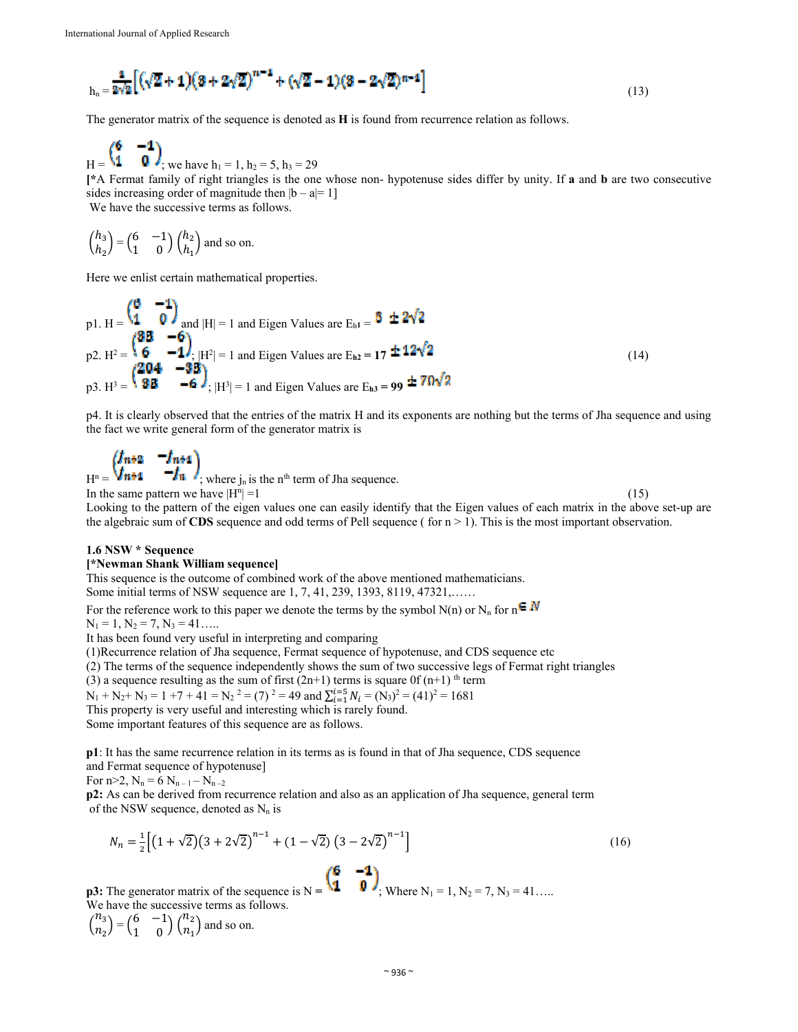$$
{}_{h_n} = \frac{1}{2\sqrt{2}} \left[ \left( \sqrt{2} + 1 \right) \left( 3 + 2\sqrt{2} \right)^{n-1} + \left( \sqrt{2} - 1 \right) \left( 3 - 2\sqrt{2} \right)^{n-1} \right] \tag{13}
$$

The generator matrix of the sequence is denoted as **H** is found from recurrence relation as follows.

$$
H = \begin{pmatrix} 6 & -1 \\ 1 & 0 \end{pmatrix}
$$
, we have  $h_1 = 1$ ,  $h_2 = 5$ ,  $h_3 = 29$ 

**[\***A Fermat family of right triangles is the one whose non- hypotenuse sides differ by unity. If **a** and **b** are two consecutive sides increasing order of magnitude then  $|b - a| = 1$ ] We have the successive terms as follows.

 $\binom{h_3}{h}$  $\begin{pmatrix} h_3 \\ h_2 \end{pmatrix} = \begin{pmatrix} 6 & -1 \\ 1 & 0 \end{pmatrix} \begin{pmatrix} h_2 \\ h_1 \end{pmatrix}$  $\binom{n_2}{h_1}$  and so on.

 $-$  0  $N$ 

za.

Here we enlist certain mathematical properties.

p1. H = 
$$
\begin{pmatrix} 0 & -1 \ 1 & 0 \end{pmatrix}
$$
 and |H| = 1 and Eigen Values are E<sub>h1</sub> =  $\begin{pmatrix} 3 & \pm 2\sqrt{2} \\ \pm 2\sqrt{2} & 1 \end{pmatrix}$   
p2. H<sup>2</sup> =  $\begin{pmatrix} 3 & -6 \\ 6 & -1 \end{pmatrix}$ ; |H<sup>2</sup>| = 1 and Eigen Values are E<sub>h2</sub> = 17 ± 12 $\sqrt{2}$   
p3. H<sup>3</sup> =  $\begin{pmatrix} 204 & -33 \\ 38 & -6 \end{pmatrix}$ ; |H<sup>3</sup>| = 1 and Eigen Values are E<sub>h3</sub> = 99 ± 70 $\sqrt{2}$  (14)

p4. It is clearly observed that the entries of the matrix H and its exponents are nothing but the terms of Jha sequence and using the fact we write general form of the generator matrix is

$$
\begin{pmatrix}\n\boldsymbol{f}_{n+2} & -\boldsymbol{f}_{n+1} \\
\boldsymbol{f}_{n+1} & -\boldsymbol{f}_n\n\end{pmatrix}
$$
\nwhere  $j_n$  is the n<sup>th</sup> term of Jha sequence.  
\nIn the same pattern we have  $|H^n| = 1$ 

 $|=1$  (15) Looking to the pattern of the eigen values one can easily identify that the Eigen values of each matrix in the above set-up are the algebraic sum of **CDS** sequence and odd terms of Pell sequence ( for  $n > 1$ ). This is the most important observation.

## **1.6 NSW \* Sequence**

## **[\*Newman Shank William sequence]**

This sequence is the outcome of combined work of the above mentioned mathematicians. Some initial terms of NSW sequence are 1, 7, 41, 239, 1393, 8119, 47321,……

For the reference work to this paper we denote the terms by the symbol N(n) or N<sub>n</sub> for  $n \in \mathbb{N}$  $N_1 = 1, N_2 = 7, N_3 = 41...$ 

It has been found very useful in interpreting and comparing

(1)Recurrence relation of Jha sequence, Fermat sequence of hypotenuse, and CDS sequence etc

(2) The terms of the sequence independently shows the sum of two successive legs of Fermat right triangles

(3) a sequence resulting as the sum of first  $(2n+1)$  terms is square 0f  $(n+1)$ <sup>th</sup> term

 $N_1 + N_2 + N_3 = 1 +7 + 41 = N_2^2 = (7)^2 = 49$  and  $\sum_{i=1}^{i=5} N_i = (N_3)^2 = (41)^2 = 1681$ 

This property is very useful and interesting which is rarely found.

Some important features of this sequence are as follows.

**p1**: It has the same recurrence relation in its terms as is found in that of Jha sequence, CDS sequence and Fermat sequence of hypotenuse]

For  $n>2$ ,  $N_n = 6 N_{n-1} - N_{n-2}$ 

**p2:** As can be derived from recurrence relation and also as an application of Jha sequence, general term of the NSW sequence, denoted as  $N_n$  is

$$
N_n = \frac{1}{2} \left[ \left( 1 + \sqrt{2} \right) \left( 3 + 2\sqrt{2} \right)^{n-1} + \left( 1 - \sqrt{2} \right) \left( 3 - 2\sqrt{2} \right)^{n-1} \right]
$$
\n(16)

**p3:** The generator matrix of the sequence is  $N = \{x_i, y_i\}$ . Where  $N_1 = 1, N_2 = 7, N_3 = 41...$ We have the successive terms as follows.  $\binom{n_3}{n}$  $\binom{n_3}{n_2} = \binom{6}{1} \binom{n_2}{n_1}$  $\binom{n_2}{n_1}$  and so on.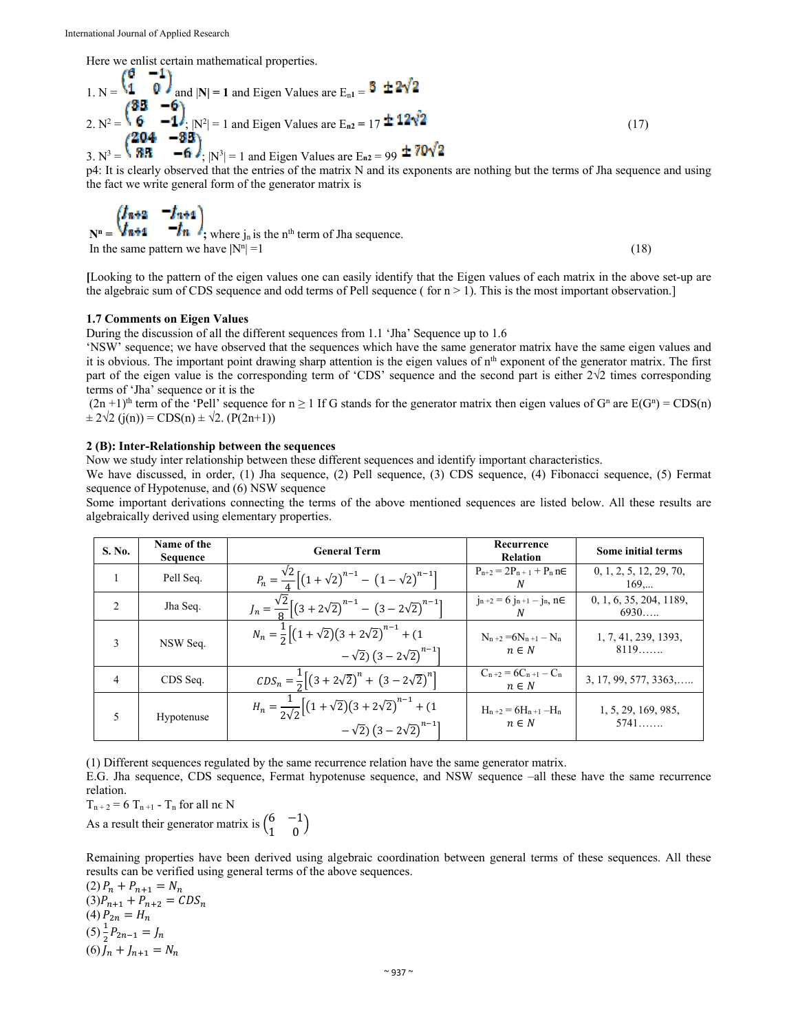Here we enlist certain mathematical properties.

1. N = 
$$
\begin{pmatrix} 0 & -1 \ 1 & 0 \end{pmatrix}
$$
 and |N| = 1 and Eigen Values are E<sub>n1</sub> =  $\frac{3 \pm 2\sqrt{2}}{2}$   
\n2. N<sup>2</sup> =  $\begin{pmatrix} 85 & -6 \ 6 & -1 \end{pmatrix}$ , N<sup>2</sup>| = 1 and Eigen Values are E<sub>n2</sub> = 17 ± 12 $\sqrt{2}$   
\n3. N<sup>3</sup> =  $\begin{pmatrix} 204 & -85 \ 85 & -6 \end{pmatrix}$ , N<sup>3</sup>| = 1 and Eigen Values are E<sub>n2</sub> = 99 ± 70 $\sqrt{2}$  (17)

p4: It is clearly observed that the entries of the matrix N and its exponents are nothing but the terms of Jha sequence and using the fact we write general form of the generator matrix is

$$
\mathbf{N}^{\mathbf{n}} = \begin{pmatrix} \mathbf{I}_{\mathbf{n+1}} & -\mathbf{I}_{\mathbf{n+1}} \\ \mathbf{I}_{\mathbf{n+1}} & -\mathbf{I}_{\mathbf{n}} \end{pmatrix}; \text{ where } \mathbf{j}_{\mathbf{n}} \text{ is the } \mathbf{n}^{\text{th}} \text{ term of } \mathbf{J}\text{ has sequence.}
$$
\nIn the same pattern we have  $|\mathbf{N}^{\mathbf{n}}| = 1$  (18)

**[**Looking to the pattern of the eigen values one can easily identify that the Eigen values of each matrix in the above set-up are the algebraic sum of CDS sequence and odd terms of Pell sequence ( for  $n > 1$ ). This is the most important observation.]

# **1.7 Comments on Eigen Values**

During the discussion of all the different sequences from 1.1 'Jha' Sequence up to 1.6

'NSW' sequence; we have observed that the sequences which have the same generator matrix have the same eigen values and it is obvious. The important point drawing sharp attention is the eigen values of  $n<sup>th</sup>$  exponent of the generator matrix. The first part of the eigen value is the corresponding term of 'CDS' sequence and the second part is either  $2\sqrt{2}$  times corresponding terms of 'Jha' sequence or it is the

 $(2n+1)$ <sup>th</sup> term of the 'Pell' sequence for  $n \ge 1$  If G stands for the generator matrix then eigen values of G<sup>n</sup> are E(G<sup>n</sup>) = CDS(n)  $\pm 2\sqrt{2}$  (j(n)) = CDS(n)  $\pm \sqrt{2}$ . (P(2n+1))

# **2 (B): Inter-Relationship between the sequences**

Now we study inter relationship between these different sequences and identify important characteristics.

We have discussed, in order, (1) Jha sequence, (2) Pell sequence, (3) CDS sequence, (4) Fibonacci sequence, (5) Fermat sequence of Hypotenuse, and (6) NSW sequence

Some important derivations connecting the terms of the above mentioned sequences are listed below. All these results are algebraically derived using elementary properties.

| S. No.                        | Name of the<br><b>Sequence</b> | <b>General Term</b>                                                                                                                          | Recurrence<br><b>Relation</b>           | Some initial terms              |
|-------------------------------|--------------------------------|----------------------------------------------------------------------------------------------------------------------------------------------|-----------------------------------------|---------------------------------|
|                               | Pell Seq.                      | $P_n = \frac{\sqrt{2}}{4} \left[ \left( 1 + \sqrt{2} \right)^{n-1} - \left( 1 - \sqrt{2} \right)^{n-1} \right]$                              | $P_{n+2} = 2P_{n+1} + P_n n \in$<br>N   | 0, 1, 2, 5, 12, 29, 70,<br>169  |
| $\mathfrak{D}_{\mathfrak{p}}$ | Jha Seq.                       | $J_n = \frac{\sqrt{2}}{8} \left[ \left( 3 + 2\sqrt{2} \right)^{n-1} - \left( 3 - 2\sqrt{2} \right)^{n-1} \right]$                            | $j_{n+2} = 6 j_{n+1} - j_n, n \in$<br>N | 0, 1, 6, 35, 204, 1189,<br>6930 |
| 3                             | NSW Seq.                       | $N_n = \frac{1}{2} \left[ (1 + \sqrt{2})(3 + 2\sqrt{2})^{n-1} + (1 \right]$<br>$-\sqrt{2}$ ) $(3-2\sqrt{2})^{n-1}$                           | $N_{n+2} = 6N_{n+1} - N_n$<br>$n \in N$ | 1, 7, 41, 239, 1393,<br>8119    |
| $\overline{4}$                | CDS Seq.                       | $CDS_n = \frac{1}{2} \left[ \left( 3 + 2\sqrt{2} \right)^n + \left( 3 - 2\sqrt{2} \right)^n \right]$                                         | $C_{n+2} = 6C_{n+1} - C_n$<br>$n \in N$ | $3, 17, 99, 577, 3363, \ldots$  |
| 5                             | Hypotenuse                     | $H_n = \frac{1}{2\sqrt{2}} \left[ (1 + \sqrt{2})(3 + 2\sqrt{2})^{n-1} + (1 - \sqrt{2})^{n-1} \right]$<br>$-\sqrt{2}$ ) $(3-2\sqrt{2})^{n-1}$ | $H_{n+2} = 6H_{n+1} - H_n$<br>$n \in N$ | 1, 5, 29, 169, 985,<br>$5741$   |

(1) Different sequences regulated by the same recurrence relation have the same generator matrix.

E.G. Jha sequence, CDS sequence, Fermat hypotenuse sequence, and NSW sequence –all these have the same recurrence relation.

 $T_{n+2}$  = 6  $T_{n+1}$  -  $T_n$  for all ne N

As a result their generator matrix is  $\begin{pmatrix} 6 & -1 \\ 1 & 0 \end{pmatrix}$ 

Remaining properties have been derived using algebraic coordination between general terms of these sequences. All these results can be verified using general terms of the above sequences.

(2) 
$$
P_n + P_{n+1} = N_n
$$
  
\n(3)  $P_{n+1} + P_{n+2} = CDS_n$   
\n(4)  $P_{2n} = H_n$   
\n(5)  $\frac{1}{2}P_{2n-1} = J_n$   
\n(6)  $J_n + J_{n+1} = N_n$